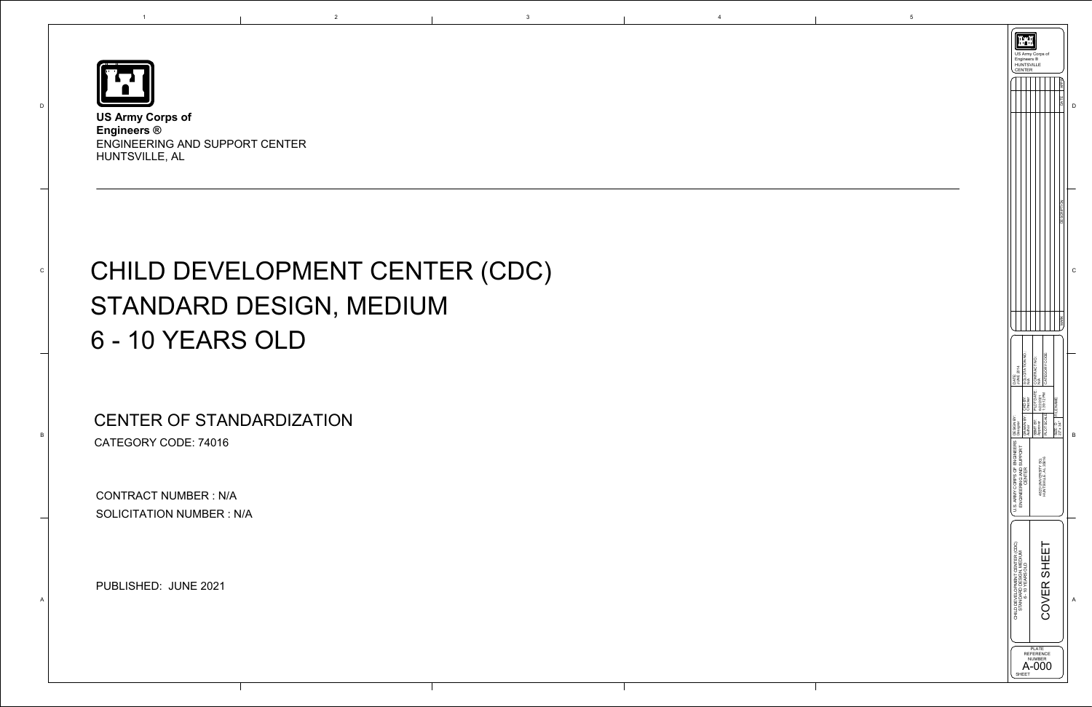

D

C

B

A

1

**US Army Corps of Engineers ®**  ENGINEERING AND SUPPORT CENTER HUNTSVILLE, AL

# CHILD DEVELOPMENT CENTER (CDC) STANDARD DESIGN, MEDIUM 6 - 10 YEARS OLD

| US Army Corps of<br>Engineers ®<br><b>HUNTSVILLE</b><br><b>ENTER</b>          |                                                               |                                             |                                    |                       |                     |   |  |
|-------------------------------------------------------------------------------|---------------------------------------------------------------|---------------------------------------------|------------------------------------|-----------------------|---------------------|---|--|
|                                                                               |                                                               |                                             |                                    |                       | <b>APPP</b><br>DATE |   |  |
|                                                                               |                                                               |                                             |                                    |                       | SCR<br>Ъ            |   |  |
|                                                                               |                                                               |                                             |                                    |                       | <b>MARK</b>         |   |  |
| DATE:<br>JUNE 2014                                                            | SOLICITATION NO.:<br>N/A                                      | PLOT DATE: CONTRACT NO.:<br>6/22/2021 N/A   | CATEGORY CODE:                     |                       |                     |   |  |
| ∑<br>⊞<br>Designer                                                            | DRAWN BY: CKD BY:<br>Author Checker                           | SBMT BY:                                    | $F_{\text{PLOT SCALE}}$ 1:38:12 PM | FILE NAME:<br>SIZE: D | 22" x 34"           | B |  |
| U.S. ARMY CORPS OF ENGINEERS   DESIGN<br>ENGINEERING AND SUPPORT<br>CENTER    |                                                               | HUNTSVILLE, AL 35816<br>4820 UNIVERSITY SQ. |                                    |                       |                     |   |  |
| CHILD DEVELOPMENT CENTER (CDC)<br>STANDARD DESIGN, MEDIUM<br>6 - 10 YEARS OLD |                                                               | COVER SHEET                                 |                                    |                       |                     | A |  |
|                                                                               | <b>PLATE</b><br>REFERENCE<br><b>NUMBER</b><br>$-000$<br>SHEET |                                             |                                    |                       |                     |   |  |

CONTRACT NUMBER : N/A SOLICITATION NUMBER : N/A

e 2021<br>PUBLISHED: JUNE 2021

CENTER OF STANDARDIZATION CATEGORY CODE: 74016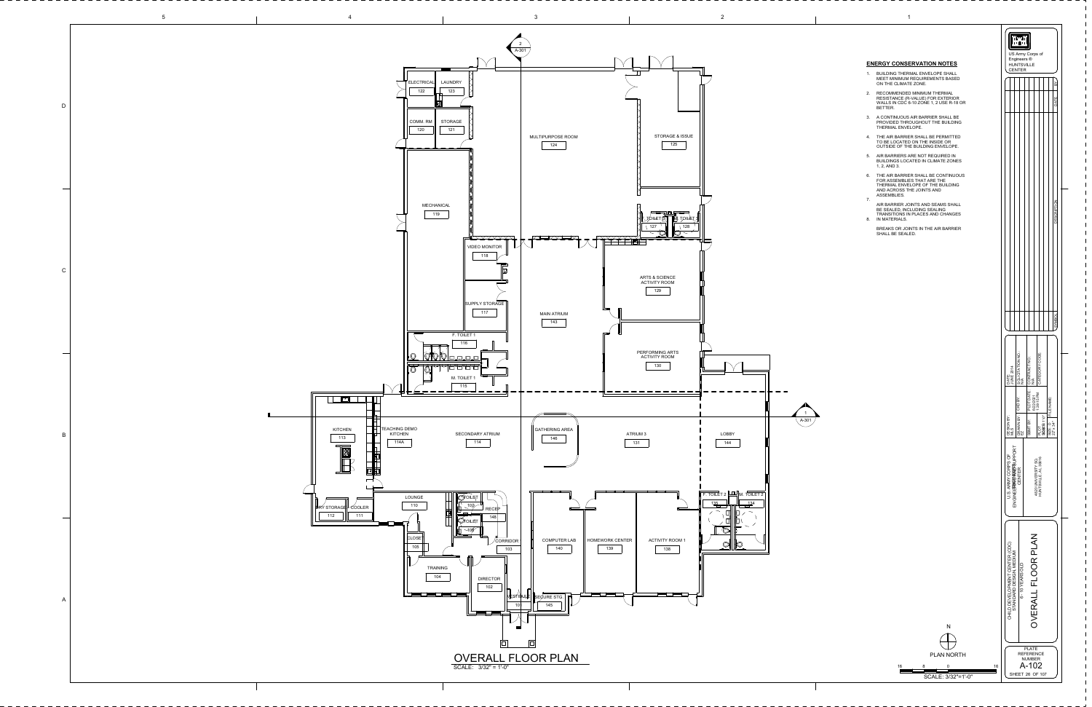1

SHEET 26 OF 107

# **ENERGY CONSERVATION NOTES**





- BUILDING THERMAL ENVELOPE SHALL MEET MINIMUM REQUIREMENTS BASED ON THE CLIMATE ZONE. 1.
- 2. RECOMMENDED MINIMUM THERMAL RESISTANCE (R-VALUE) FOR EXTERIOR WALLS IN CDC 6-10 ZONE 1, 2 USE R-18 OR BETTER.
- 3. A CONTINUOUS AIR BARRIER SHALL BE PROVIDED THROUGHOUT THE BUILDING THERMAL ENVELOPE.
- THE AIR BARRIER SHALL BE PERMITTED 4. TO BE LOCATED ON THE INSIDE OR OUTSIDE OF THE BUILDING ENVELOPE.
- AIR BARRIERS ARE NOT REQUIRED IN 5. BUILDINGS LOCATED IN CLIMATE ZONES 1, 2, AND 3.
- THE AIR BARRIER SHALL BE CONTINUOUS 6. FOR ASSEMBLIES THAT ARE THE THERMAL ENVELOPE OF THE BUILDING AND ACROSS THE JOINTS AND ASSEMBLIES.
- AIR BARRIER JOINTS AND SEAMS SHALL BE SEALED, INCLUDING SEALING 7.
- TRANSITIONS IN PLACES AND CHANGES 8. IN MATERIALS.
- BREAKS OR JOINTS IN THE AIR BARRIER SHALL BE SEALED.

SCALE: 3/32"=1'-0"

16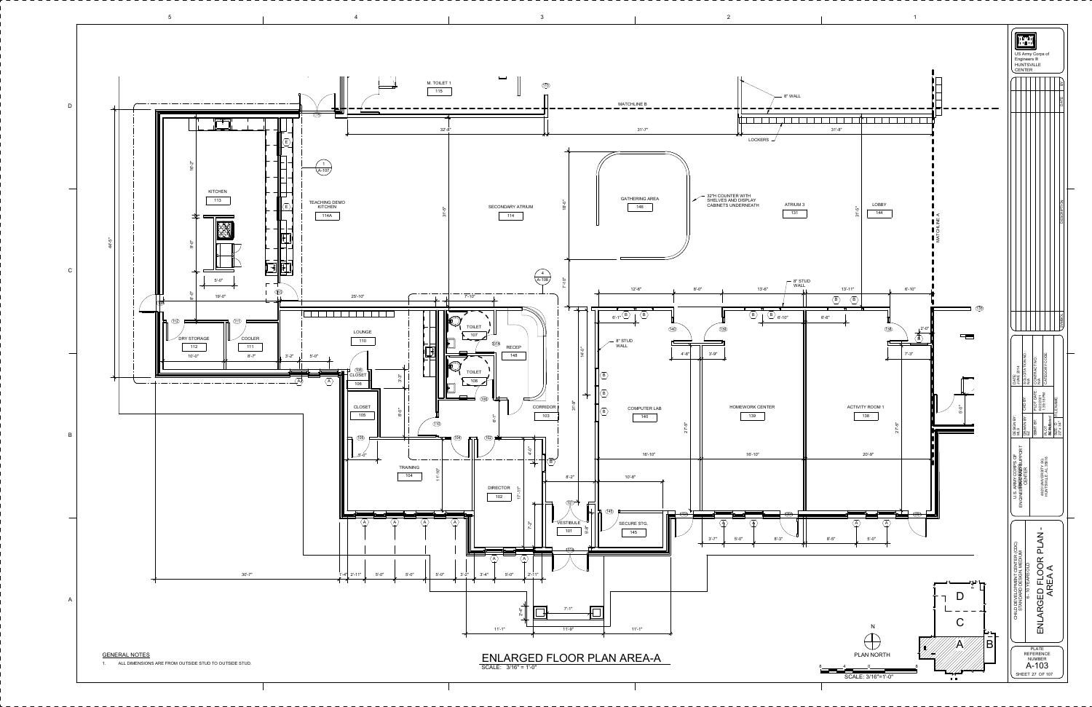5 $4$  and  $3$  1 D▜▓▛▌  $\overline{\phantom{a}}$ 114 $\begin{bmatrix} \begin{matrix} 1 & 0 \\ 0 & 1 \end{matrix} \end{bmatrix}$ E16'-2" 1[A-107](#page-6-0) KITCHEN T 113 TEACHING DEMO EKITCHEN 114A  $\overline{\phantom{a}}$  and  $\overline{\phantom{a}}$  and  $\overline{\phantom{a}}$  and  $\overline{\phantom{a}}$  and  $\overline{\phantom{a}}$  and  $\overline{\phantom{a}}$  and  $\overline{\phantom{a}}$  and  $\overline{\phantom{a}}$  and  $\overline{\phantom{a}}$  and  $\overline{\phantom{a}}$  and  $\overline{\phantom{a}}$  and  $\overline{\phantom{a}}$  and  $\overline{\phantom{a}}$  and  $\overline{\phantom{a}}$  a  $\begin{matrix} 1 & 1 \\ 1 & 1 \end{matrix}$  $\begin{tabular}{|c|c|c|c|} \hline \quad \quad & \quad \quad & \quad \quad & \quad \quad \\ \hline \quad \quad & \quad \quad & \quad \quad & \quad \quad \\ \hline \quad \quad & \quad \quad & \quad \quad & \quad \quad \\ \hline \quad \quad & \quad \quad & \quad \quad & \quad \quad \\ \hline \quad \quad & \quad \quad & \quad \quad & \quad \quad \\ \hline \quad \quad & \quad \quad & \quad \quad & \quad \quad \\ \hline \quad \quad & \quad \quad & \quad \quad & \quad \quad \\ \hline \quad \quad & \quad \quad & \quad \quad & \quad \quad \\ \hline \quad \quad & \quad \quad & \quad \quad & \quad$ -5"<br>44'-5" -<br>თ<br>თ  $\begin{tabular}{|c|c|c|} \hline \quad \quad & \quad \quad & \quad \quad \\ \hline \quad \quad & \quad \quad & \quad \quad \\ \hline \quad \quad & \quad \quad & \quad \quad \\ \hline \quad \quad & \quad \quad & \quad \quad \\ \hline \quad \quad & \quad \quad & \quad \quad \\ \hline \quad \quad & \quad \quad & \quad \quad \\ \hline \quad \quad & \quad \quad & \quad \quad \\ \hline \quad \quad & \quad \quad & \quad \quad \\ \hline \quad \quad & \quad \quad & \quad \quad \\ \hline \quad \quad & \quad \quad & \quad \quad \\ \hline \quad \quad & \quad \quad & \quad \quad \\ \hline \quad \quad &$ C $\frac{5!}{2}$ <br> $\frac{5!}{2}$ <br> $\frac{19!}{4}$  $\sqrt{2}$ 113 19'-0"113A112) <del>- Andrea Maria (</del>111 LOUNGE  $\degree$ COOLER DRY STORAGE 110112 111  $3' - 2"$  5'-0" 10'-0" 8'-7" l (<u>106</u>)<br>CLOSET .<br>3'-3' A $\langle A \rangle$ 106 CLOSET -<br>ფ<br>დ 105 B1055'-0" A30'-7" 1'-4" 2'-11"AGENERAL NOTES1. ALL DIMENSIONS ARE FROM OUTSIDE STUD TO OUTSIDE STUD.

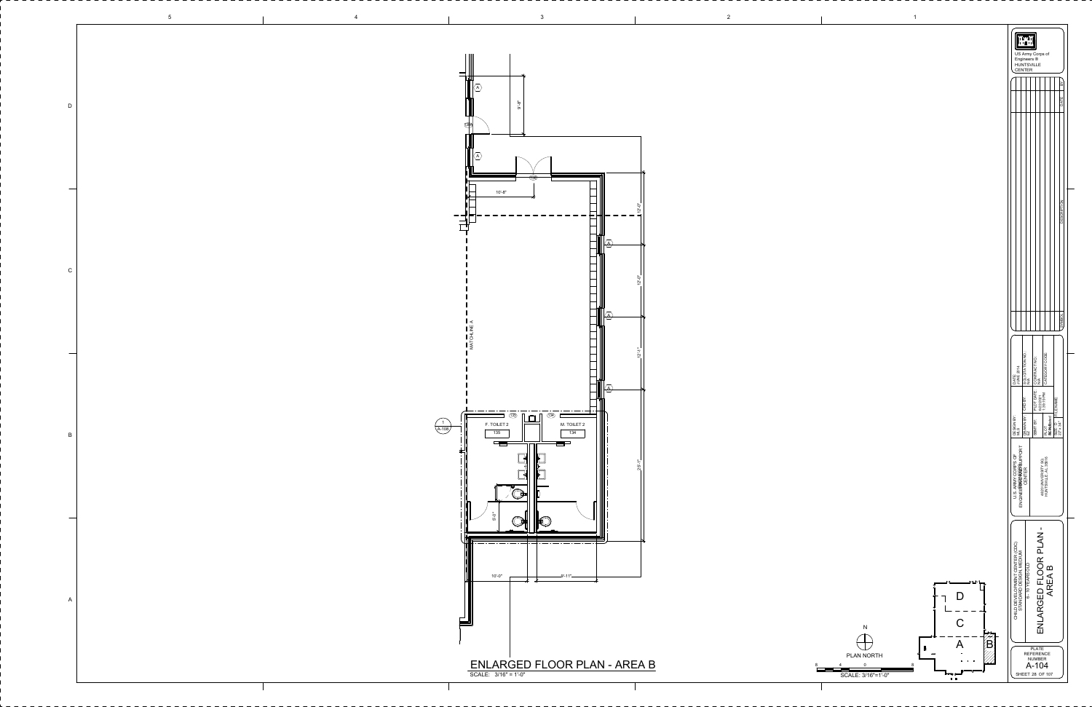|              |                | $\overline{\phantom{0}}$                                                                                                                                                                                                                                                                                                                                                                                                                                                                                                                                                                                                                             |                                  |
|--------------|----------------|------------------------------------------------------------------------------------------------------------------------------------------------------------------------------------------------------------------------------------------------------------------------------------------------------------------------------------------------------------------------------------------------------------------------------------------------------------------------------------------------------------------------------------------------------------------------------------------------------------------------------------------------------|----------------------------------|
| $\mathsf{D}$ |                |                                                                                                                                                                                                                                                                                                                                                                                                                                                                                                                                                                                                                                                      |                                  |
|              |                | $10 - 8"$                                                                                                                                                                                                                                                                                                                                                                                                                                                                                                                                                                                                                                            |                                  |
| $\mathsf{C}$ |                |                                                                                                                                                                                                                                                                                                                                                                                                                                                                                                                                                                                                                                                      |                                  |
|              |                |                                                                                                                                                                                                                                                                                                                                                                                                                                                                                                                                                                                                                                                      |                                  |
| $\mathsf{B}$ | $\sqrt{A-108}$ | $\hspace{1.0cm}\rule{0.7cm}{0.1cm}\hspace{1.0cm}\rule{0.7cm}{0.1cm}\hspace{1.0cm}\hspace{1.0cm}\ldots\hspace{1.0cm}\rule{0.7cm}{0.1cm}\hspace{1.0cm}\ldots\hspace{1.0cm}\rule{0.7cm}{0.1cm}\hspace{1.0cm}\ldots\hspace{1.0cm}\ldots\hspace{1.0cm}\ldots\hspace{1.0cm}\ldots\hspace{1.0cm}\ldots\hspace{1.0cm}\ldots\hspace{1.0cm}\ldots\hspace{1.0cm}\ldots\hspace{1.0cm}\ldots\hspace{1.0cm}\ldots$<br>$\begin{array}{c} \overline{1} & \overline{1} & \overline{1} \\ \overline{1} & \overline{1} & \overline{1} \\ \end{array}$<br>$\circled{135}$<br>$\mathbf{r}$<br>$\Box$<br>_______<br>F. TOILET 2<br>M. TOILET 2<br>135<br>134<br>ser<br>▜▆▅ |                                  |
| $\sim$       |                | _____                                                                                                                                                                                                                                                                                                                                                                                                                                                                                                                                                                                                                                                |                                  |
| $\mathsf{A}$ |                | $-9'$ -11" $-$<br>$10 - 0"$<br>─<br>▆▆                                                                                                                                                                                                                                                                                                                                                                                                                                                                                                                                                                                                               | N<br>╼╾╇═╾                       |
|              |                | $\underbrace{\mathsf{ENLARGED FLOOR PLAN}\textnormal{-} \; \mathsf{AREA}\; \mathsf{B}}_{\mathsf{SCALE: 3/16" = 1' \cdot 0"}}$                                                                                                                                                                                                                                                                                                                                                                                                                                                                                                                        | PLAN NORTH<br>SCALE: 3/16"=1'-0" |









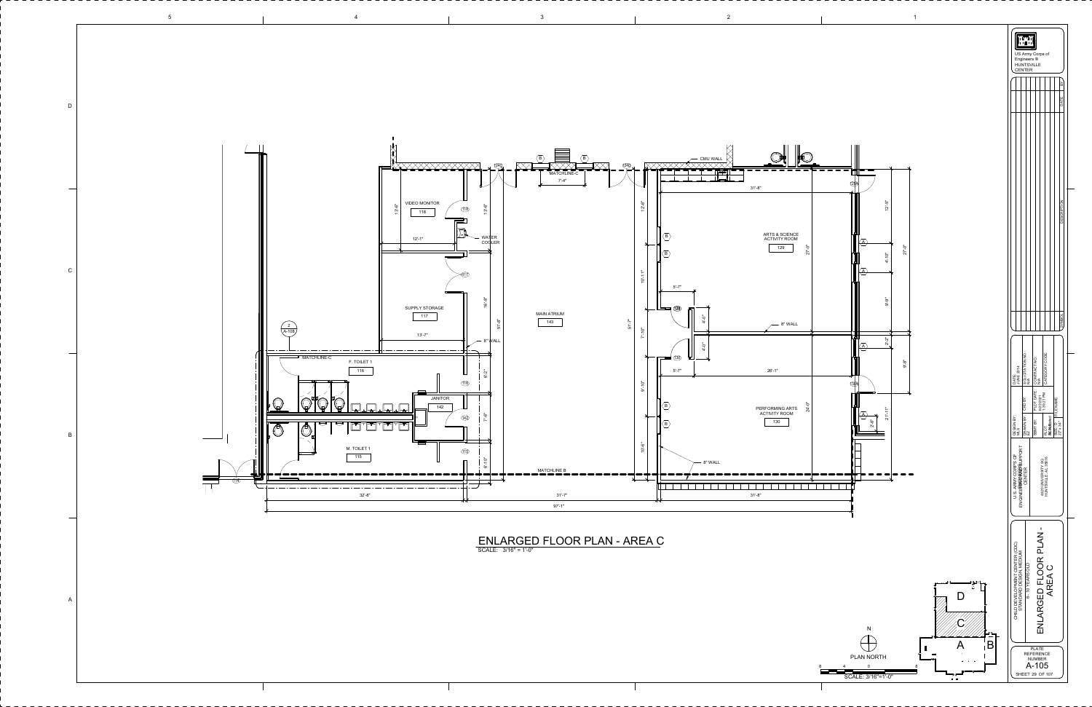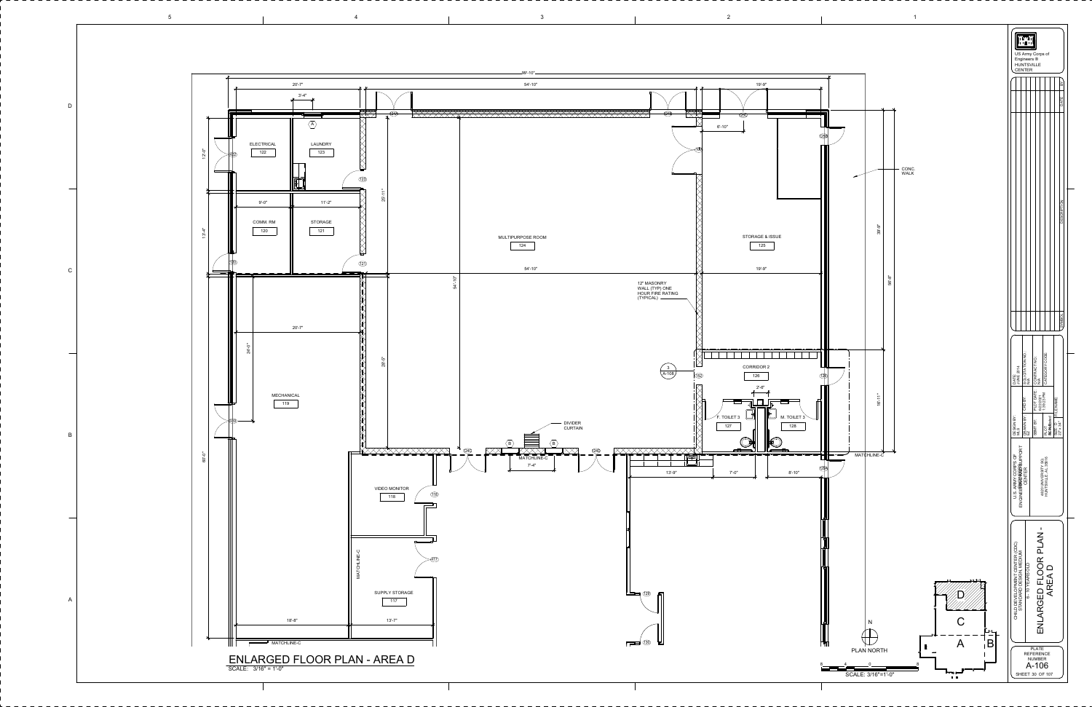5



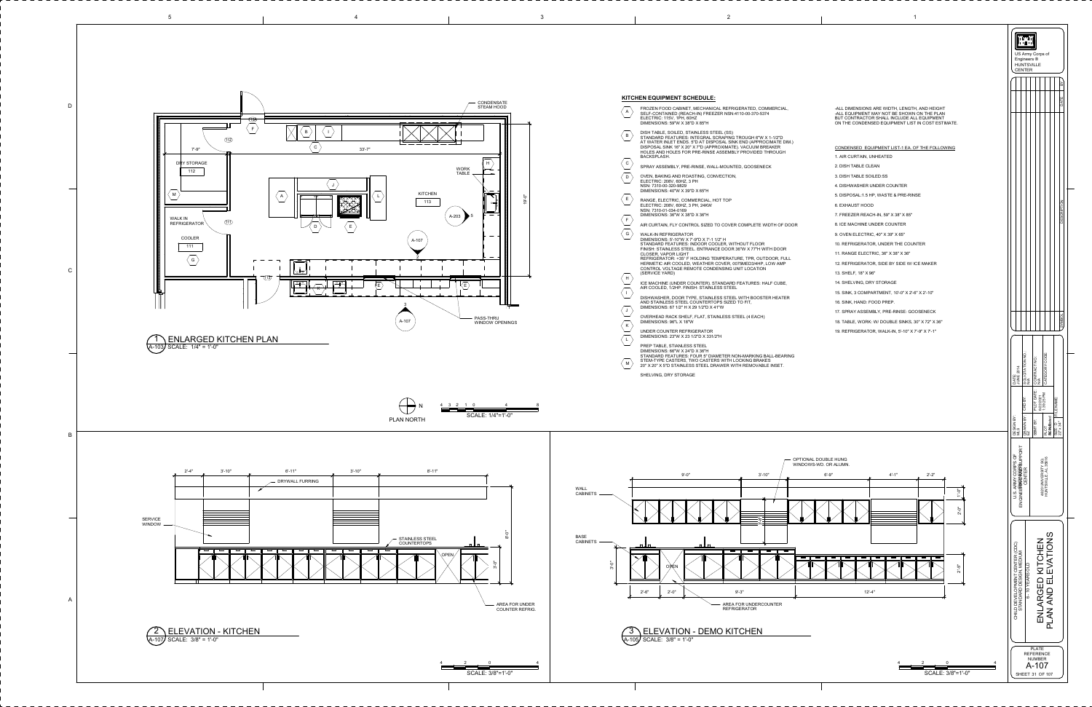<span id="page-6-0"></span>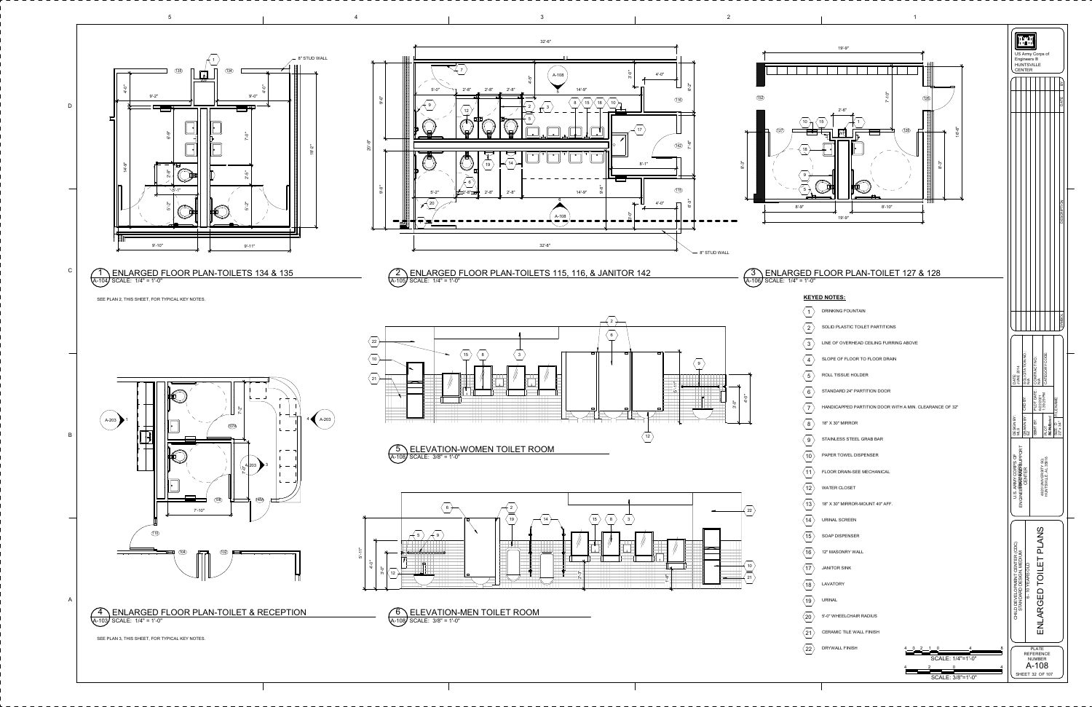H US Army Corps of Engineers <sup>®</sup> HUNTSVILLE CENTER  $\mathord{>}$ മ E $\vdash$ ADz O $\vdash$ Pœ  $\circ$ SED $\overline{\phantom{0}}$ Oമ M $\mathord{>}$ S CATEGORY CODE: CONTRACT NO.: ATH<br>NHA ISA<br>NASI ISA<br>NASI ISA PLOT DATE: ន<br>ខា<br>ខា SIZE: D FILE NAME: 2 /  $\bar{c}$ یو 9  $\geq$  $\omega$ 6  $\overline{ }$ **As Andriated** SBMT BY: 22" x 34" MLS<br>DRAWN<br>EZ<br>PLOT<br>**AS**AMEC HUNTSVILLE, AL 35816 4820 UNIVERSITY SQ.<br>HUNTSVILLE, AL 35816 4820 UNIVERSITY SQ. ENLARGED TOILET PLANS ENLARGED TOILET PLANS PLATE REFERENCE NUMBER A-108 SHEET 32 OF 107

<span id="page-7-0"></span>

SOLICITATION NO.: JUNE 2014 CKD BY: DESIGN BY: DRAWN BY: **U.S. ARMY CORPS OF<br>ENGINEERINGUNEERS OF**<br>ENGINEERINGUNEER ENGINEERING AND SUPPORT U.S. ARMY CORPS OF OSHEHANGING CENTER CHILD DEVELOPMENT CENTER (CDC)<br>STANDARD DESIGN, MEDIUM<br>6 - 10 YEARS OLD CHILD DEVELOPMENT CENTER (CDC) STANDARD DESIGN, MEDIUM 6 - 10 YEARS OLD 4 3 2 1 0 4 8 SCALE: 1/4"=1'-0" 2 4

SCALE: 3/8"=1'-0"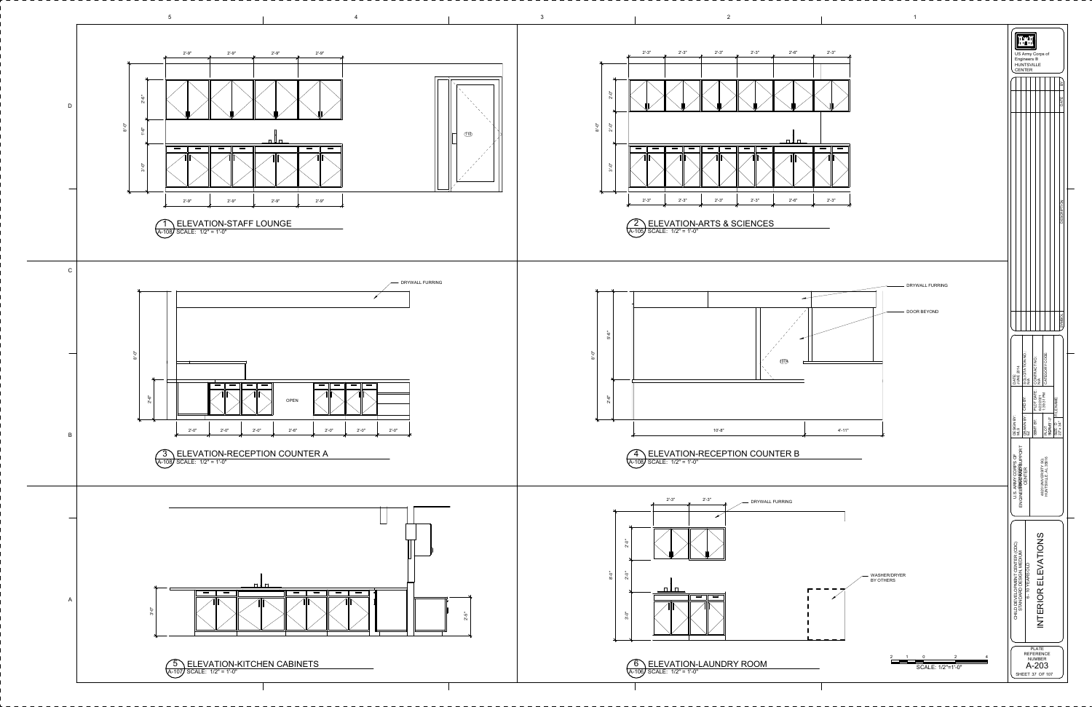<span id="page-8-0"></span>